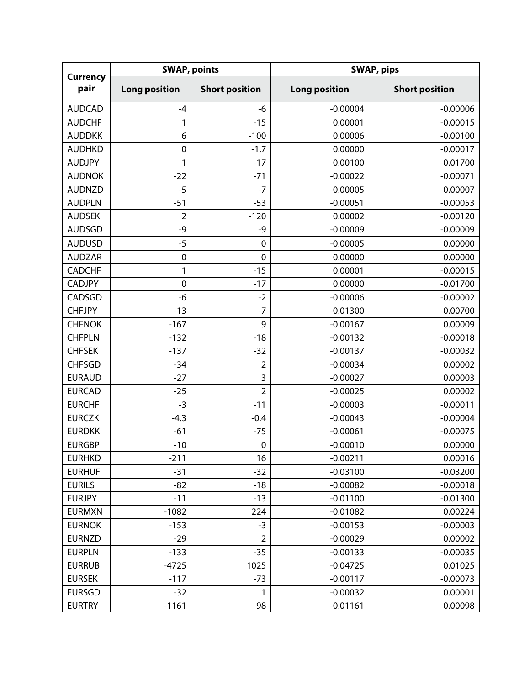| <b>Currency</b><br>pair | <b>SWAP, points</b>  |                       | <b>SWAP, pips</b>    |                       |  |
|-------------------------|----------------------|-----------------------|----------------------|-----------------------|--|
|                         | <b>Long position</b> | <b>Short position</b> | <b>Long position</b> | <b>Short position</b> |  |
| <b>AUDCAD</b>           | $-4$                 | -6                    | $-0.00004$           | $-0.00006$            |  |
| <b>AUDCHF</b>           | 1                    | $-15$                 | 0.00001              | $-0.00015$            |  |
| <b>AUDDKK</b>           | 6                    | $-100$                | 0.00006              | $-0.00100$            |  |
| <b>AUDHKD</b>           | $\mathbf 0$          | $-1.7$                | 0.00000              | $-0.00017$            |  |
| <b>AUDJPY</b>           | 1                    | $-17$                 | 0.00100              | $-0.01700$            |  |
| <b>AUDNOK</b>           | $-22$                | $-71$                 | $-0.00022$           | $-0.00071$            |  |
| <b>AUDNZD</b>           | $-5$                 | $-7$                  | $-0.00005$           | $-0.00007$            |  |
| <b>AUDPLN</b>           | $-51$                | $-53$                 | $-0.00051$           | $-0.00053$            |  |
| <b>AUDSEK</b>           | $\overline{2}$       | $-120$                | 0.00002              | $-0.00120$            |  |
| <b>AUDSGD</b>           | -9                   | -9                    | $-0.00009$           | $-0.00009$            |  |
| <b>AUDUSD</b>           | $-5$                 | $\mathbf 0$           | $-0.00005$           | 0.00000               |  |
| <b>AUDZAR</b>           | $\mathbf 0$          | $\mathbf 0$           | 0.00000              | 0.00000               |  |
| <b>CADCHF</b>           | 1                    | $-15$                 | 0.00001              | $-0.00015$            |  |
| <b>CADJPY</b>           | $\mathbf 0$          | $-17$                 | 0.00000              | $-0.01700$            |  |
| CADSGD                  | -6                   | $-2$                  | $-0.00006$           | $-0.00002$            |  |
| <b>CHFJPY</b>           | $-13$                | $-7$                  | $-0.01300$           | $-0.00700$            |  |
| <b>CHFNOK</b>           | $-167$               | 9                     | $-0.00167$           | 0.00009               |  |
| <b>CHFPLN</b>           | $-132$               | $-18$                 | $-0.00132$           | $-0.00018$            |  |
| <b>CHFSEK</b>           | $-137$               | $-32$                 | $-0.00137$           | $-0.00032$            |  |
| <b>CHFSGD</b>           | $-34$                | $\overline{2}$        | $-0.00034$           | 0.00002               |  |
| <b>EURAUD</b>           | $-27$                | 3                     | $-0.00027$           | 0.00003               |  |
| <b>EURCAD</b>           | $-25$                | $\overline{2}$        | $-0.00025$           | 0.00002               |  |
| <b>EURCHF</b>           | $-3$                 | $-11$                 | $-0.00003$           | $-0.00011$            |  |
| <b>EURCZK</b>           | $-4.3$               | $-0.4$                | $-0.00043$           | $-0.00004$            |  |
| <b>EURDKK</b>           | $-61$                | $-75$                 | $-0.00061$           | $-0.00075$            |  |
| <b>EURGBP</b>           | $-10$                | $\pmb{0}$             | $-0.00010$           | 0.00000               |  |
| <b>EURHKD</b>           | $-211$               | 16                    | $-0.00211$           | 0.00016               |  |
| <b>EURHUF</b>           | $-31$                | $-32$                 | $-0.03100$           | $-0.03200$            |  |
| <b>EURILS</b>           | $-82$                | $-18$                 | $-0.00082$           | $-0.00018$            |  |
| <b>EURJPY</b>           | $-11$                | $-13$                 | $-0.01100$           | $-0.01300$            |  |
| <b>EURMXN</b>           | $-1082$              | 224                   | $-0.01082$           | 0.00224               |  |
| <b>EURNOK</b>           | $-153$               | $-3$                  | $-0.00153$           | $-0.00003$            |  |
| <b>EURNZD</b>           | $-29$                | $\overline{2}$        | $-0.00029$           | 0.00002               |  |
| <b>EURPLN</b>           | $-133$               | $-35$                 | $-0.00133$           | $-0.00035$            |  |
| <b>EURRUB</b>           | $-4725$              | 1025                  | $-0.04725$           | 0.01025               |  |
| <b>EURSEK</b>           | $-117$               | $-73$                 | $-0.00117$           | $-0.00073$            |  |
| <b>EURSGD</b>           | $-32$                | 1                     | $-0.00032$           | 0.00001               |  |
| <b>EURTRY</b>           | $-1161$              | 98                    | $-0.01161$           | 0.00098               |  |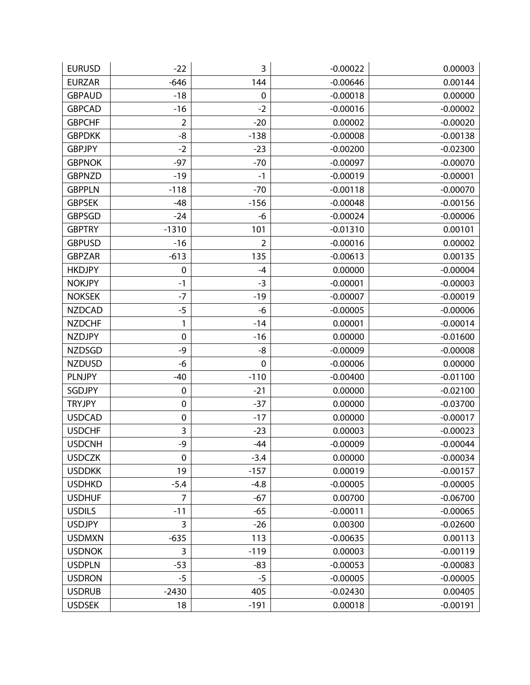| <b>EURUSD</b> | $-22$            | 3           | $-0.00022$ | 0.00003    |
|---------------|------------------|-------------|------------|------------|
| <b>EURZAR</b> | $-646$           | 144         | $-0.00646$ | 0.00144    |
| <b>GBPAUD</b> | $-18$            | 0           | $-0.00018$ | 0.00000    |
| <b>GBPCAD</b> | $-16$            | $-2$        | $-0.00016$ | $-0.00002$ |
| <b>GBPCHF</b> | $\overline{2}$   | $-20$       | 0.00002    | $-0.00020$ |
| <b>GBPDKK</b> | -8               | $-138$      | $-0.00008$ | $-0.00138$ |
| <b>GBPJPY</b> | $-2$             | $-23$       | $-0.00200$ | $-0.02300$ |
| <b>GBPNOK</b> | $-97$            | $-70$       | $-0.00097$ | $-0.00070$ |
| <b>GBPNZD</b> | $-19$            | $-1$        | $-0.00019$ | $-0.00001$ |
| <b>GBPPLN</b> | $-118$           | $-70$       | $-0.00118$ | $-0.00070$ |
| <b>GBPSEK</b> | $-48$            | $-156$      | $-0.00048$ | $-0.00156$ |
| <b>GBPSGD</b> | $-24$            | -6          | $-0.00024$ | $-0.00006$ |
| <b>GBPTRY</b> | $-1310$          | 101         | $-0.01310$ | 0.00101    |
| <b>GBPUSD</b> | $-16$            | 2           | $-0.00016$ | 0.00002    |
| <b>GBPZAR</b> | $-613$           | 135         | $-0.00613$ | 0.00135    |
| <b>HKDJPY</b> | $\mathbf 0$      | $-4$        | 0.00000    | $-0.00004$ |
| <b>NOKJPY</b> | $-1$             | $-3$        | $-0.00001$ | $-0.00003$ |
| <b>NOKSEK</b> | $-7$             | $-19$       | $-0.00007$ | $-0.00019$ |
| <b>NZDCAD</b> | $-5$             | -6          | $-0.00005$ | $-0.00006$ |
| <b>NZDCHF</b> | 1                | $-14$       | 0.00001    | $-0.00014$ |
| <b>NZDJPY</b> | 0                | $-16$       | 0.00000    | $-0.01600$ |
| <b>NZDSGD</b> | -9               | -8          | $-0.00009$ | $-0.00008$ |
| <b>NZDUSD</b> | -6               | $\mathbf 0$ | $-0.00006$ | 0.00000    |
| <b>PLNJPY</b> | $-40$            | $-110$      | $-0.00400$ | $-0.01100$ |
| SGDJPY        | $\boldsymbol{0}$ | $-21$       | 0.00000    | $-0.02100$ |
| <b>TRYJPY</b> | $\pmb{0}$        | $-37$       | 0.00000    | $-0.03700$ |
| <b>USDCAD</b> | $\mathbf 0$      | $-17$       | 0.00000    | $-0.00017$ |
| <b>USDCHF</b> | 3                | $-23$       | 0.00003    | $-0.00023$ |
| <b>USDCNH</b> | -9               | $-44$       | $-0.00009$ | $-0.00044$ |
| <b>USDCZK</b> | $\mathbf 0$      | $-3.4$      | 0.00000    | $-0.00034$ |
| <b>USDDKK</b> | 19               | $-157$      | 0.00019    | $-0.00157$ |
| <b>USDHKD</b> | $-5.4$           | $-4.8$      | $-0.00005$ | $-0.00005$ |
| <b>USDHUF</b> | 7                | $-67$       | 0.00700    | $-0.06700$ |
| <b>USDILS</b> | $-11$            | $-65$       | $-0.00011$ | $-0.00065$ |
| <b>USDJPY</b> | 3                | $-26$       | 0.00300    | $-0.02600$ |
| <b>USDMXN</b> | $-635$           | 113         | $-0.00635$ | 0.00113    |
| <b>USDNOK</b> | 3                | $-119$      | 0.00003    | $-0.00119$ |
| <b>USDPLN</b> | $-53$            | $-83$       | $-0.00053$ | $-0.00083$ |
| <b>USDRON</b> | $-5$             | $-5$        | $-0.00005$ | $-0.00005$ |
| <b>USDRUB</b> | $-2430$          | 405         | $-0.02430$ | 0.00405    |
| <b>USDSEK</b> | 18               | $-191$      | 0.00018    | $-0.00191$ |